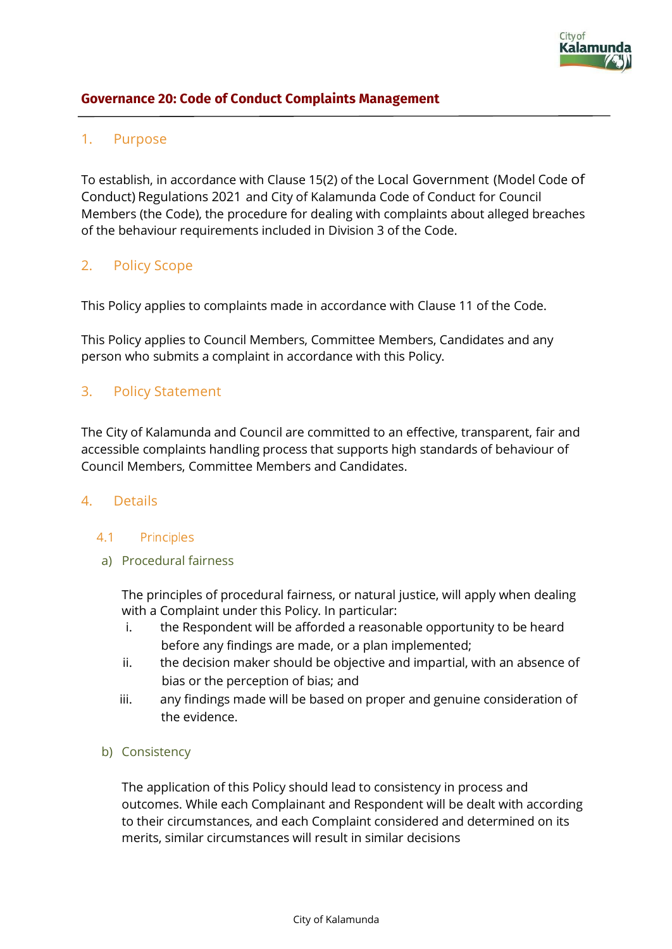## **Governance 20: Code of Conduct Complaints Management**

# 1. Purpose

To establish, in accordance with Clause 15(2) of the Local Government (Model Code of Conduct) Regulations 2021 and City of Kalamunda Code of Conduct for Council Members (the Code), the procedure for dealing with complaints about alleged breaches of the behaviour requirements included in Division 3 of the Code.

# 2. Policy Scope

This Policy applies to complaints made in accordance with Clause 11 of the Code.

This Policy applies to Council Members, Committee Members, Candidates and any person who submits a complaint in accordance with this Policy.

## 3. Policy Statement

The City of Kalamunda and Council are committed to an effective, transparent, fair and accessible complaints handling process that supports high standards of behaviour of Council Members, Committee Members and Candidates.

### 4. Details

### 4.1 Principles

a) Procedural fairness

The principles of procedural fairness, or natural justice, will apply when dealing with a Complaint under this Policy. In particular:

- i. the Respondent will be afforded a reasonable opportunity to be heard before any findings are made, or a plan implemented;
- ii. the decision maker should be objective and impartial, with an absence of bias or the perception of bias; and
- iii. any findings made will be based on proper and genuine consideration of the evidence.
- b) Consistency

The application of this Policy should lead to consistency in process and outcomes. While each Complainant and Respondent will be dealt with according to their circumstances, and each Complaint considered and determined on its merits, similar circumstances will result in similar decisions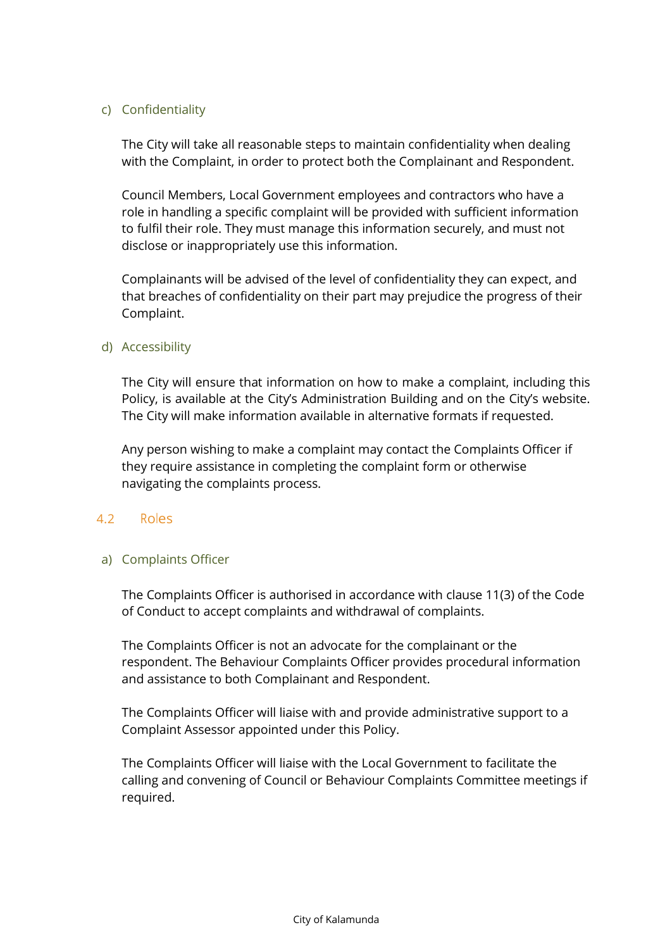### c) Confidentiality

The City will take all reasonable steps to maintain confidentiality when dealing with the Complaint, in order to protect both the Complainant and Respondent.

Council Members, Local Government employees and contractors who have a role in handling a specific complaint will be provided with sufficient information to fulfil their role. They must manage this information securely, and must not disclose or inappropriately use this information.

Complainants will be advised of the level of confidentiality they can expect, and that breaches of confidentiality on their part may prejudice the progress of their Complaint.

#### d) Accessibility

The City will ensure that information on how to make a complaint, including this Policy, is available at the City's Administration Building and on the City's website. The City will make information available in alternative formats if requested.

Any person wishing to make a complaint may contact the Complaints Officer if they require assistance in completing the complaint form or otherwise navigating the complaints process.

#### 4.2 Roles

#### a) Complaints Officer

The Complaints Officer is authorised in accordance with clause 11(3) of the Code of Conduct to accept complaints and withdrawal of complaints.

The Complaints Officer is not an advocate for the complainant or the respondent. The Behaviour Complaints Officer provides procedural information and assistance to both Complainant and Respondent.

The Complaints Officer will liaise with and provide administrative support to a Complaint Assessor appointed under this Policy.

The Complaints Officer will liaise with the Local Government to facilitate the calling and convening of Council or Behaviour Complaints Committee meetings if required.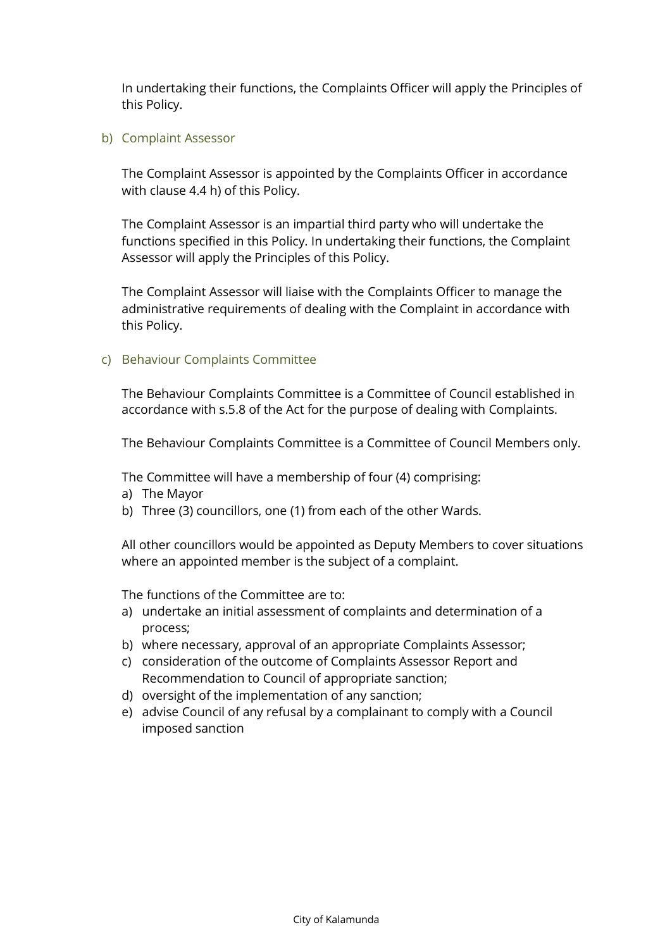In undertaking their functions, the Complaints Officer will apply the Principles of this Policy.

b) Complaint Assessor

The Complaint Assessor is appointed by the Complaints Officer in accordance with clause 4.4 h) of this Policy.

The Complaint Assessor is an impartial third party who will undertake the functions specified in this Policy. In undertaking their functions, the Complaint Assessor will apply the Principles of this Policy.

The Complaint Assessor will liaise with the Complaints Officer to manage the administrative requirements of dealing with the Complaint in accordance with this Policy.

### c) Behaviour Complaints Committee

The Behaviour Complaints Committee is a Committee of Council established in accordance with s.5.8 of the Act for the purpose of dealing with Complaints.

The Behaviour Complaints Committee is a Committee of Council Members only.

The Committee will have a membership of four (4) comprising:

- a) The Mayor
- b) Three (3) councillors, one (1) from each of the other Wards.

All other councillors would be appointed as Deputy Members to cover situations where an appointed member is the subject of a complaint.

The functions of the Committee are to:

- a) undertake an initial assessment of complaints and determination of a process;
- b) where necessary, approval of an appropriate Complaints Assessor;
- c) consideration of the outcome of Complaints Assessor Report and Recommendation to Council of appropriate sanction;
- d) oversight of the implementation of any sanction;
- e) advise Council of any refusal by a complainant to comply with a Council imposed sanction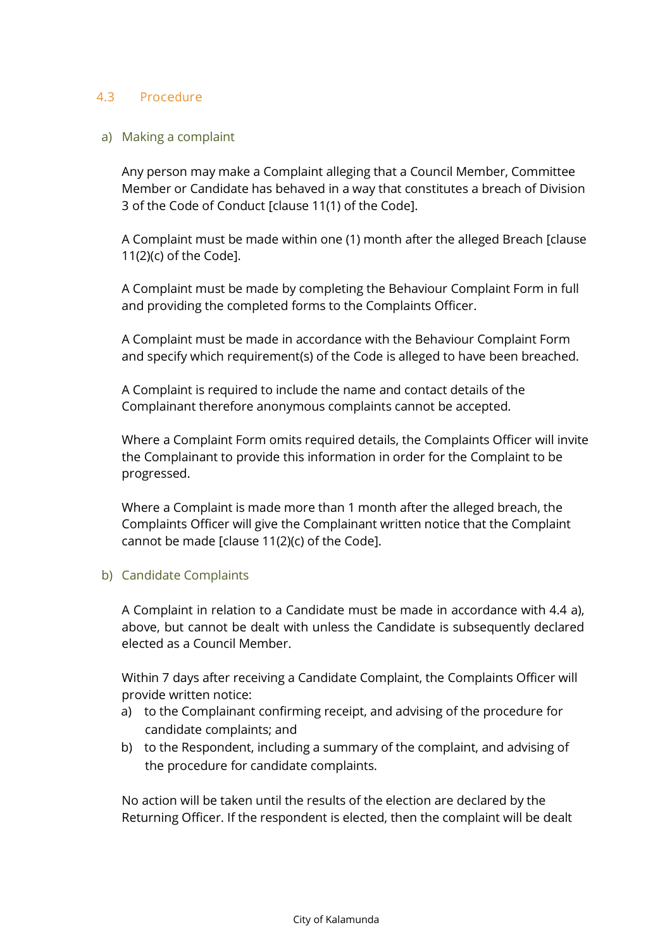### 4.3 Procedure

#### a) Making a complaint

Any person may make a Complaint alleging that a Council Member, Committee Member or Candidate has behaved in a way that constitutes a breach of Division 3 of the Code of Conduct [clause 11(1) of the Code].

A Complaint must be made within one (1) month after the alleged Breach [clause 11(2)(c) of the Code].

A Complaint must be made by completing the Behaviour Complaint Form in full and providing the completed forms to the Complaints Officer.

A Complaint must be made in accordance with the Behaviour Complaint Form and specify which requirement(s) of the Code is alleged to have been breached.

A Complaint is required to include the name and contact details of the Complainant therefore anonymous complaints cannot be accepted.

Where a Complaint Form omits required details, the Complaints Officer will invite the Complainant to provide this information in order for the Complaint to be progressed.

Where a Complaint is made more than 1 month after the alleged breach, the Complaints Officer will give the Complainant written notice that the Complaint cannot be made [clause 11(2)(c) of the Code].

#### b) Candidate Complaints

A Complaint in relation to a Candidate must be made in accordance with 4.4 a), above, but cannot be dealt with unless the Candidate is subsequently declared elected as a Council Member.

Within 7 days after receiving a Candidate Complaint, the Complaints Officer will provide written notice:

- a) to the Complainant confirming receipt, and advising of the procedure for candidate complaints; and
- b) to the Respondent, including a summary of the complaint, and advising of the procedure for candidate complaints.

No action will be taken until the results of the election are declared by the Returning Officer. If the respondent is elected, then the complaint will be dealt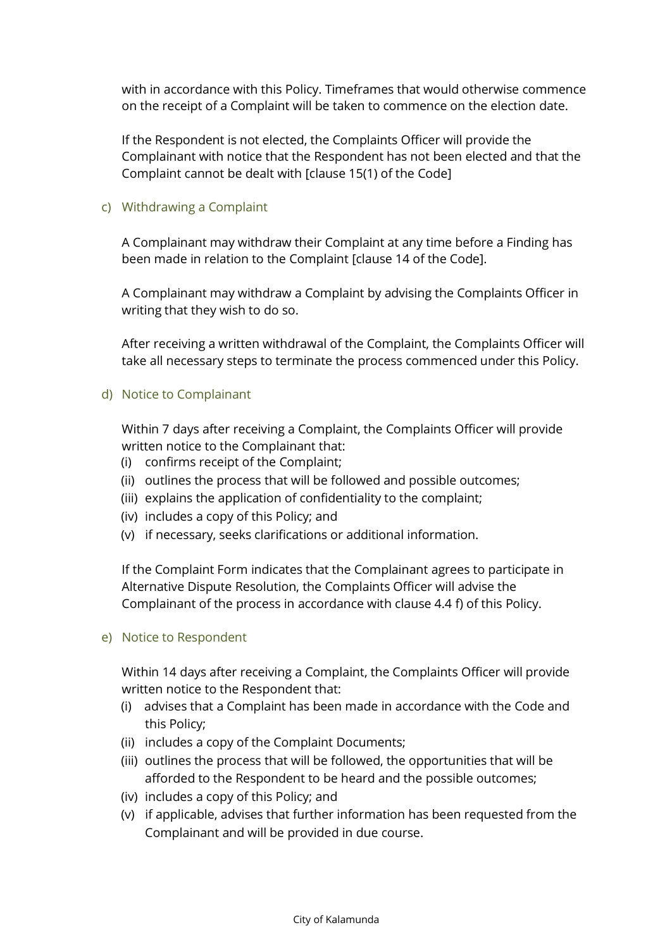with in accordance with this Policy. Timeframes that would otherwise commence on the receipt of a Complaint will be taken to commence on the election date.

If the Respondent is not elected, the Complaints Officer will provide the Complainant with notice that the Respondent has not been elected and that the Complaint cannot be dealt with [clause 15(1) of the Code]

### c) Withdrawing a Complaint

A Complainant may withdraw their Complaint at any time before a Finding has been made in relation to the Complaint [clause 14 of the Code].

A Complainant may withdraw a Complaint by advising the Complaints Officer in writing that they wish to do so.

After receiving a written withdrawal of the Complaint, the Complaints Officer will take all necessary steps to terminate the process commenced under this Policy.

### d) Notice to Complainant

Within 7 days after receiving a Complaint, the Complaints Officer will provide written notice to the Complainant that:

- (i) confirms receipt of the Complaint;
- (ii) outlines the process that will be followed and possible outcomes;
- (iii) explains the application of confidentiality to the complaint;
- (iv) includes a copy of this Policy; and
- (v) if necessary, seeks clarifications or additional information.

If the Complaint Form indicates that the Complainant agrees to participate in Alternative Dispute Resolution, the Complaints Officer will advise the Complainant of the process in accordance with clause 4.4 f) of this Policy.

### e) Notice to Respondent

Within 14 days after receiving a Complaint, the Complaints Officer will provide written notice to the Respondent that:

- (i) advises that a Complaint has been made in accordance with the Code and this Policy;
- (ii) includes a copy of the Complaint Documents;
- (iii) outlines the process that will be followed, the opportunities that will be afforded to the Respondent to be heard and the possible outcomes;
- (iv) includes a copy of this Policy; and
- (v) if applicable, advises that further information has been requested from the Complainant and will be provided in due course.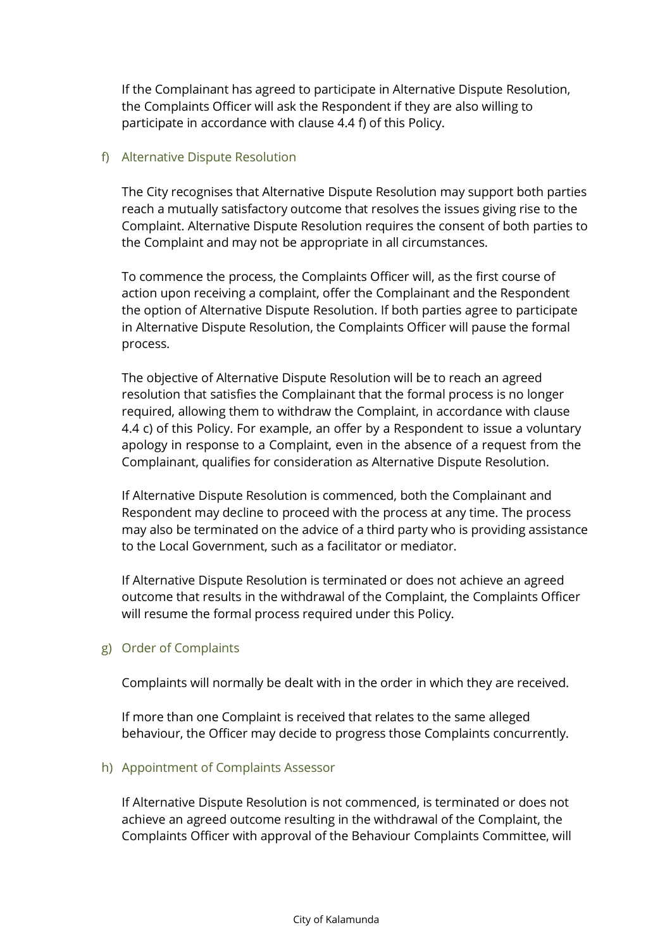If the Complainant has agreed to participate in Alternative Dispute Resolution, the Complaints Officer will ask the Respondent if they are also willing to participate in accordance with clause 4.4 f) of this Policy.

### f) Alternative Dispute Resolution

The City recognises that Alternative Dispute Resolution may support both parties reach a mutually satisfactory outcome that resolves the issues giving rise to the Complaint. Alternative Dispute Resolution requires the consent of both parties to the Complaint and may not be appropriate in all circumstances.

To commence the process, the Complaints Officer will, as the first course of action upon receiving a complaint, offer the Complainant and the Respondent the option of Alternative Dispute Resolution. If both parties agree to participate in Alternative Dispute Resolution, the Complaints Officer will pause the formal process.

The objective of Alternative Dispute Resolution will be to reach an agreed resolution that satisfies the Complainant that the formal process is no longer required, allowing them to withdraw the Complaint, in accordance with clause 4.4 c) of this Policy. For example, an offer by a Respondent to issue a voluntary apology in response to a Complaint, even in the absence of a request from the Complainant, qualifies for consideration as Alternative Dispute Resolution.

If Alternative Dispute Resolution is commenced, both the Complainant and Respondent may decline to proceed with the process at any time. The process may also be terminated on the advice of a third party who is providing assistance to the Local Government, such as a facilitator or mediator.

If Alternative Dispute Resolution is terminated or does not achieve an agreed outcome that results in the withdrawal of the Complaint, the Complaints Officer will resume the formal process required under this Policy.

#### g) Order of Complaints

Complaints will normally be dealt with in the order in which they are received.

If more than one Complaint is received that relates to the same alleged behaviour, the Officer may decide to progress those Complaints concurrently.

#### h) Appointment of Complaints Assessor

If Alternative Dispute Resolution is not commenced, is terminated or does not achieve an agreed outcome resulting in the withdrawal of the Complaint, the Complaints Officer with approval of the Behaviour Complaints Committee, will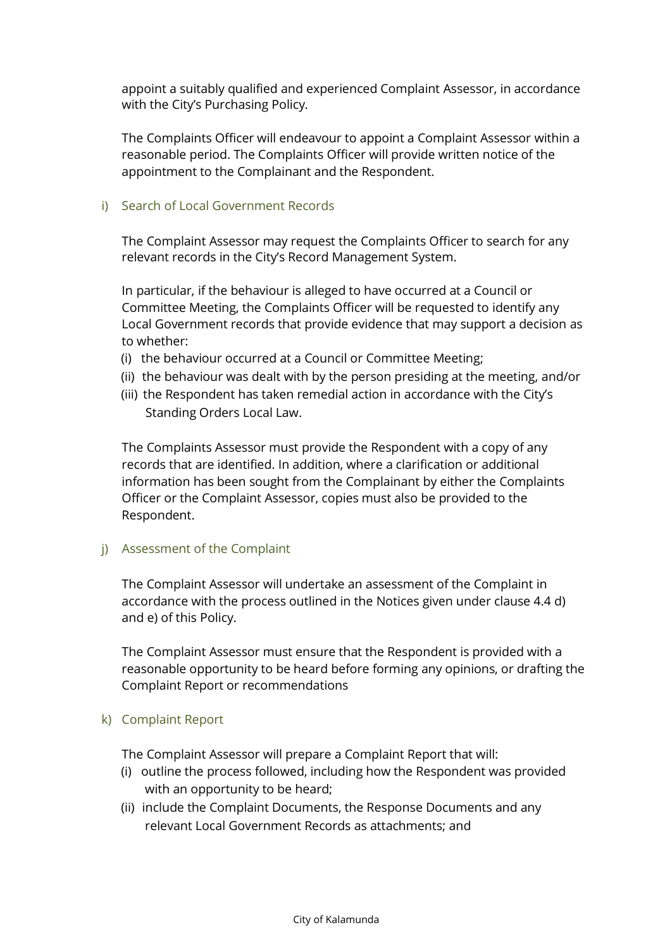appoint a suitably qualified and experienced Complaint Assessor, in accordance with the City's Purchasing Policy.

The Complaints Officer will endeavour to appoint a Complaint Assessor within a reasonable period. The Complaints Officer will provide written notice of the appointment to the Complainant and the Respondent.

#### i) Search of Local Government Records

The Complaint Assessor may request the Complaints Officer to search for any relevant records in the City's Record Management System.

In particular, if the behaviour is alleged to have occurred at a Council or Committee Meeting, the Complaints Officer will be requested to identify any Local Government records that provide evidence that may support a decision as to whether:

- (i) the behaviour occurred at a Council or Committee Meeting;
- (ii) the behaviour was dealt with by the person presiding at the meeting, and/or
- (iii) the Respondent has taken remedial action in accordance with the City's Standing Orders Local Law.

The Complaints Assessor must provide the Respondent with a copy of any records that are identified. In addition, where a clarification or additional information has been sought from the Complainant by either the Complaints Officer or the Complaint Assessor, copies must also be provided to the Respondent.

j) Assessment of the Complaint

The Complaint Assessor will undertake an assessment of the Complaint in accordance with the process outlined in the Notices given under clause 4.4 d) and e) of this Policy.

The Complaint Assessor must ensure that the Respondent is provided with a reasonable opportunity to be heard before forming any opinions, or drafting the Complaint Report or recommendations

#### k) Complaint Report

The Complaint Assessor will prepare a Complaint Report that will:

- (i) outline the process followed, including how the Respondent was provided with an opportunity to be heard;
- (ii) include the Complaint Documents, the Response Documents and any relevant Local Government Records as attachments; and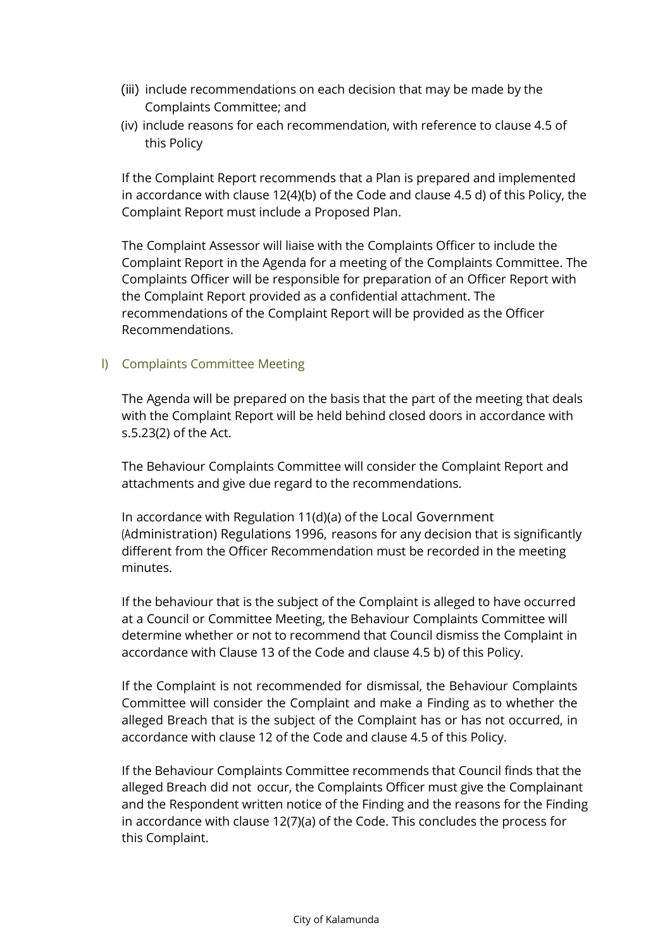- (iii) include recommendations on each decision that may be made by the Complaints Committee; and
- (iv) include reasons for each recommendation, with reference to clause 4.5 of this Policy

If the Complaint Report recommends that a Plan is prepared and implemented in accordance with clause 12(4)(b) of the Code and clause 4.5 d) of this Policy, the Complaint Report must include a Proposed Plan.

The Complaint Assessor will liaise with the Complaints Officer to include the Complaint Report in the Agenda for a meeting of the Complaints Committee. The Complaints Officer will be responsible for preparation of an Officer Report with the Complaint Report provided as a confidential attachment. The recommendations of the Complaint Report will be provided as the Officer Recommendations.

### l) Complaints Committee Meeting

The Agenda will be prepared on the basis that the part of the meeting that deals with the Complaint Report will be held behind closed doors in accordance with s.5.23(2) of the Act.

The Behaviour Complaints Committee will consider the Complaint Report and attachments and give due regard to the recommendations.

In accordance with Regulation 11(d)(a) of the Local Government (Administration) Regulations 1996, reasons for any decision that is significantly different from the Officer Recommendation must be recorded in the meeting minutes.

If the behaviour that is the subject of the Complaint is alleged to have occurred at a Council or Committee Meeting, the Behaviour Complaints Committee will determine whether or not to recommend that Council dismiss the Complaint in accordance with Clause 13 of the Code and clause 4.5 b) of this Policy.

If the Complaint is not recommended for dismissal, the Behaviour Complaints Committee will consider the Complaint and make a Finding as to whether the alleged Breach that is the subject of the Complaint has or has not occurred, in accordance with clause 12 of the Code and clause 4.5 of this Policy.

If the Behaviour Complaints Committee recommends that Council finds that the alleged Breach did not occur, the Complaints Officer must give the Complainant and the Respondent written notice of the Finding and the reasons for the Finding in accordance with clause 12(7)(a) of the Code. This concludes the process for this Complaint.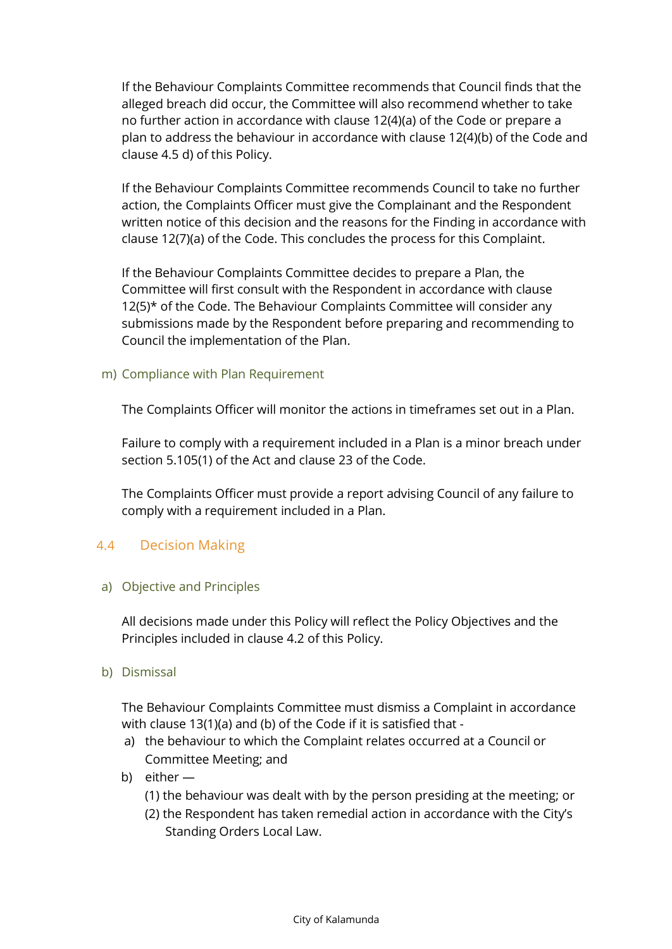If the Behaviour Complaints Committee recommends that Council finds that the alleged breach did occur, the Committee will also recommend whether to take no further action in accordance with clause 12(4)(a) of the Code or prepare a plan to address the behaviour in accordance with clause 12(4)(b) of the Code and clause 4.5 d) of this Policy.

If the Behaviour Complaints Committee recommends Council to take no further action, the Complaints Officer must give the Complainant and the Respondent written notice of this decision and the reasons for the Finding in accordance with clause 12(7)(a) of the Code. This concludes the process for this Complaint.

If the Behaviour Complaints Committee decides to prepare a Plan, the Committee will first consult with the Respondent in accordance with clause 12(5)\* of the Code. The Behaviour Complaints Committee will consider any submissions made by the Respondent before preparing and recommending to Council the implementation of the Plan.

m) Compliance with Plan Requirement

The Complaints Officer will monitor the actions in timeframes set out in a Plan.

Failure to comply with a requirement included in a Plan is a minor breach under section 5.105(1) of the Act and clause 23 of the Code.

The Complaints Officer must provide a report advising Council of any failure to comply with a requirement included in a Plan.

### 4.4 Decision Making

a) Objective and Principles

All decisions made under this Policy will reflect the Policy Objectives and the Principles included in clause 4.2 of this Policy.

b) Dismissal

The Behaviour Complaints Committee must dismiss a Complaint in accordance with clause 13(1)(a) and (b) of the Code if it is satisfied that -

- a) the behaviour to which the Complaint relates occurred at a Council or Committee Meeting; and
- b) either
	- (1) the behaviour was dealt with by the person presiding at the meeting; or
	- (2) the Respondent has taken remedial action in accordance with the City's Standing Orders Local Law.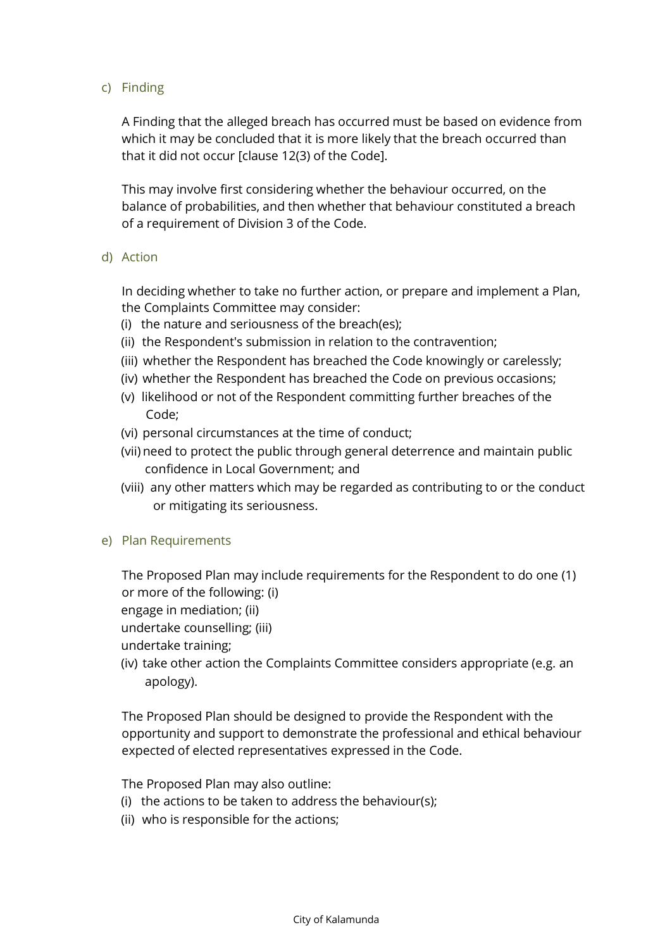### c) Finding

A Finding that the alleged breach has occurred must be based on evidence from which it may be concluded that it is more likely that the breach occurred than that it did not occur [clause 12(3) of the Code].

This may involve first considering whether the behaviour occurred, on the balance of probabilities, and then whether that behaviour constituted a breach of a requirement of Division 3 of the Code.

d) Action

In deciding whether to take no further action, or prepare and implement a Plan, the Complaints Committee may consider:

- (i) the nature and seriousness of the breach(es);
- (ii) the Respondent's submission in relation to the contravention;
- (iii) whether the Respondent has breached the Code knowingly or carelessly;
- (iv) whether the Respondent has breached the Code on previous occasions;
- (v) likelihood or not of the Respondent committing further breaches of the Code;
- (vi) personal circumstances at the time of conduct;
- (vii) need to protect the public through general deterrence and maintain public confidence in Local Government; and
- (viii) any other matters which may be regarded as contributing to or the conduct or mitigating its seriousness.
- e) Plan Requirements

The Proposed Plan may include requirements for the Respondent to do one (1) or more of the following: (i)

engage in mediation; (ii)

undertake counselling; (iii)

undertake training;

(iv) take other action the Complaints Committee considers appropriate (e.g. an apology).

The Proposed Plan should be designed to provide the Respondent with the opportunity and support to demonstrate the professional and ethical behaviour expected of elected representatives expressed in the Code.

The Proposed Plan may also outline:

- (i) the actions to be taken to address the behaviour(s);
- (ii) who is responsible for the actions;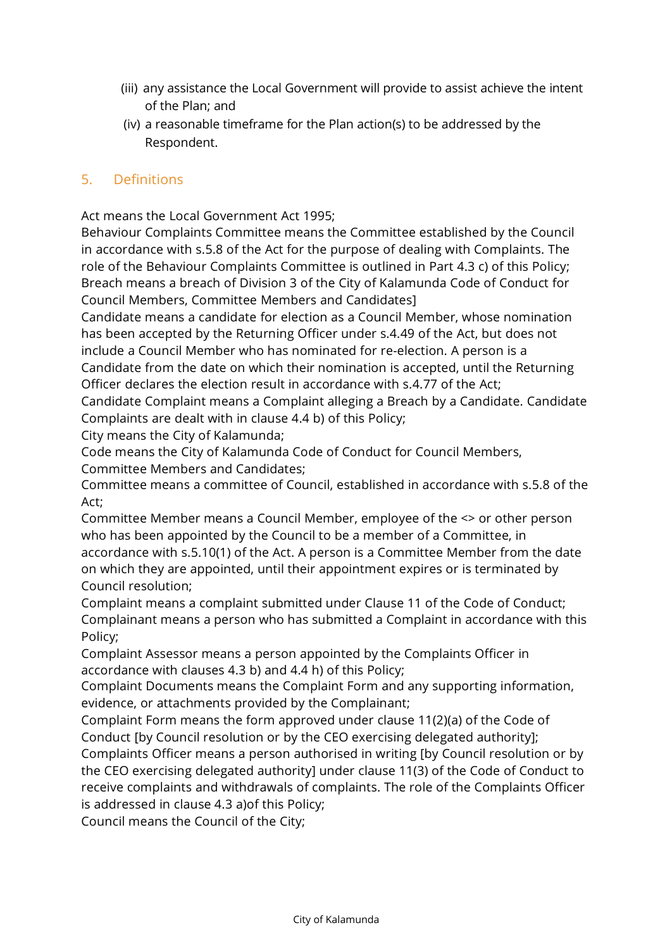- (iii) any assistance the Local Government will provide to assist achieve the intent of the Plan; and
- (iv) a reasonable timeframe for the Plan action(s) to be addressed by the Respondent.

# 5. Definitions

Act means the Local Government Act 1995;

Behaviour Complaints Committee means the Committee established by the Council in accordance with s.5.8 of the Act for the purpose of dealing with Complaints. The role of the Behaviour Complaints Committee is outlined in Part 4.3 c) of this Policy; Breach means a breach of Division 3 of the City of Kalamunda Code of Conduct for Council Members, Committee Members and Candidates]

Candidate means a candidate for election as a Council Member, whose nomination has been accepted by the Returning Officer under s.4.49 of the Act, but does not include a Council Member who has nominated for re-election. A person is a Candidate from the date on which their nomination is accepted, until the Returning Officer declares the election result in accordance with s.4.77 of the Act;

Candidate Complaint means a Complaint alleging a Breach by a Candidate. Candidate Complaints are dealt with in clause 4.4 b) of this Policy;

City means the City of Kalamunda;

Code means the City of Kalamunda Code of Conduct for Council Members, Committee Members and Candidates;

Committee means a committee of Council, established in accordance with s.5.8 of the Act;

Committee Member means a Council Member, employee of the <> or other person who has been appointed by the Council to be a member of a Committee, in accordance with s.5.10(1) of the Act. A person is a Committee Member from the date on which they are appointed, until their appointment expires or is terminated by Council resolution;

Complaint means a complaint submitted under Clause 11 of the Code of Conduct; Complainant means a person who has submitted a Complaint in accordance with this Policy;

Complaint Assessor means a person appointed by the Complaints Officer in accordance with clauses 4.3 b) and 4.4 h) of this Policy;

Complaint Documents means the Complaint Form and any supporting information, evidence, or attachments provided by the Complainant;

Complaint Form means the form approved under clause 11(2)(a) of the Code of Conduct [by Council resolution or by the CEO exercising delegated authority];

Complaints Officer means a person authorised in writing [by Council resolution or by the CEO exercising delegated authority] under clause 11(3) of the Code of Conduct to receive complaints and withdrawals of complaints. The role of the Complaints Officer is addressed in clause 4.3 a)of this Policy;

Council means the Council of the City;